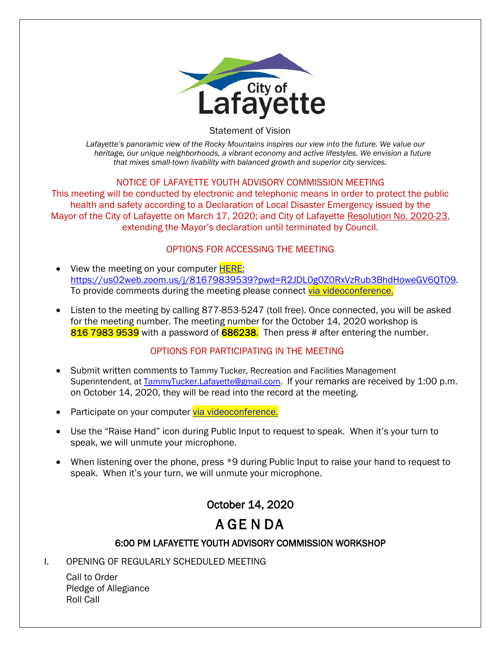

Statement of Vision

*Lafayette's panoramic view of the Rocky Mountains inspires our view into the future. We value our heritage, our unique neighborhoods, a vibrant economy and active lifestyles. We envision a future that mixes small-town livability with balanced growth and superior city services.*

#### NOTICE OF LAFAYETTE YOUTH ADVISORY COMMISSION MEETING

This meeting will be conducted by electronic and telephonic means in order to protect the public health and safety according to a Declaration of Local Disaster Emergency issued by the Mayor of the City of Lafayette on March 17, 2020; and City of Lafayette Resolution No. 2020-23, extending the Mayor's declaration until terminated by Council.

### OPTIONS FOR ACCESSING THE MEETING

- View the meeting on your computer **HERE**: https://us02web.zoom.us/j/81679839539?pwd=R2JDL0g0Z0RxVzRub3BhdHoweGV6QT09. To provide comments during the meeting please connect [via videoconference.](https://us02web.zoom.us/j/81679839539?pwd=R2JDL0g0Z0RxVzRub3BhdHoweGV6QT09)
- Listen to the meeting by calling 877-853-5247 (toll free). Once connected, you will be asked for the meeting number. The meeting number for the October 14, 2020 workshop is 816 7983 9539 with a password of 686238. Then press # after entering the number.

### OPTIONS FOR PARTICIPATING IN THE MEETING

- Submit written comments to Tammy Tucker, Recreation and Facilities Management Superintendent, at [TammyTucker.Lafayette@gmail.com.](mailto:TammyTucker.Lafayette@gmail.com) If your remarks are received by 1:00 p.m. on October 14, 2020, they will be read into the record at the meeting.
- Participate on your computer [via videoconference.](https://us02web.zoom.us/j/81679839539?pwd=R2JDL0g0Z0RxVzRub3BhdHoweGV6QT09)
- Use the "Raise Hand" icon during Public Input to request to speak. When it's your turn to speak, we will unmute your microphone.
- When listening over the phone, press \*9 during Public Input to raise your hand to request to speak. When it's your turn, we will unmute your microphone.

## October 14, 2020

# A GE N DA

### 6:00 PM LAFAYETTE YOUTH ADVISORY COMMISSION WORKSHOP

I. OPENING OF REGULARLY SCHEDULED MEETING

Call to Order Pledge of Allegiance Roll Call